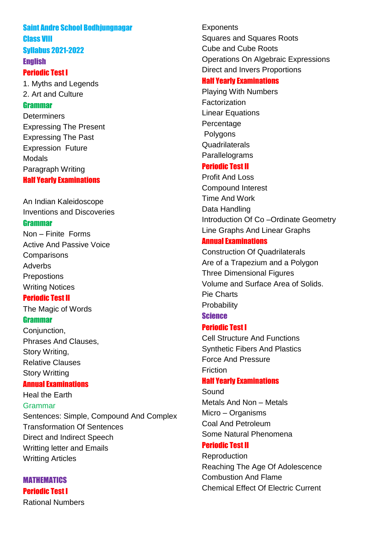# Saint Andre School Bodhjungnagar Class VIII Syllabus 2021-2022

# **English**

# Periodic Test I

1. Myths and Legends 2. Art and Culture

# Grammar

**Determiners** Expressing The Present Expressing The Past Expression Future Modals Paragraph Writing Half Yearly Examinations

An Indian Kaleidoscope Inventions and Discoveries

# Grammar

Non – Finite Forms Active And Passive Voice **Comparisons** Adverbs **Prepostions** Writing Notices

# Periodic Test II

The Magic of Words

# **Grammar**

Conjunction, Phrases And Clauses, Story Writing, Relative Clauses Story Writting

# Annual Examinations

Heal the Earth Grammar Sentences: Simple, Compound And Complex Transformation Of Sentences Direct and Indirect Speech Writting letter and Emails Writting Articles

MATHEMATICS Periodic Test I Rational Numbers **Exponents** Squares and Squares Roots Cube and Cube Roots Operations On Algebraic Expressions Direct and Invers Proportions

# Half Yearly Examinations

Playing With Numbers **Factorization** Linear Equations Percentage Polygons **Quadrilaterals Parallelograms** 

# Periodic Test II

Profit And Loss Compound Interest Time And Work Data Handling Introduction Of Co –Ordinate Geometry Line Graphs And Linear Graphs

# Annual Examinations

Construction Of Quadrilaterals Are of a Trapezium and a Polygon Three Dimensional Figures Volume and Surface Area of Solids. Pie Charts **Probability** 

# **Science**

# Periodic Test I

Cell Structure And Functions Synthetic Fibers And Plastics Force And Pressure Friction

# Half Yearly Examinations

Sound Metals And Non – Metals Micro – Organisms Coal And Petroleum Some Natural Phenomena

# Periodic Test II

Reproduction Reaching The Age Of Adolescence Combustion And Flame Chemical Effect Of Electric Current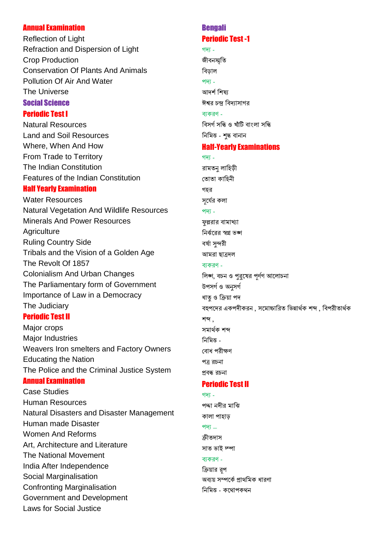### Annual Examination

Reflection of Light Refraction and Dispersion of Light Crop Production Conservation Of Plants And Animals Pollution Of Air And Water The Universe Social Science

## Periodic Test I

Natural Resources Land and Soil Resources Where, When And How From Trade to Territory The Indian Constitution Features of the Indian Constitution

# Half Yearly Examination

Water Resources Natural Vegetation And Wildlife Resources Minerals And Power Resources **Agriculture** Ruling Country Side Tribals and the Vision of a Golden Age The Revolt Of 1857 Colonialism And Urban Changes The Parliamentary form of Government Importance of Law in a Democracy The Judiciary

# Periodic Test II

Major crops Major Industries Weavers Iron smelters and Factory Owners Educating the Nation The Police and the Criminal Justice System Annual Examination

Case Studies Human Resources Natural Disasters and Disaster Management Human made Disaster Women And Reforms Art, Architecture and Literature The National Movement India After Independence Social Marginalisation Confronting Marginalisation Government and Development Laws for Social Justice

# Bengali Periodic Test -1

### গদ -

জীবনস্মতি বিড়াল পদ্য -আদৰ্শ শিষ্য ঈশ্বর চন্দ্র বিদ্যাসাগর ব্যকরণ -বিসৰ্গ সন্ধি ও খাঁটি বাংলা সন্ধি

নিমিত্ত - শুদ্ধ বানান

# Half-Yearly Examinations

### গদ্য -

রামতন লাহিড়ী তোতা কাহিনী গহর সৰ্যের কলা পদ্য-ফল্লরার বামাখ্যা নির্ব্যরের স্বপ্ন ভঙ্গ বৰ্ষা সন্দরী আমরা ছাত্রদল ব্যকরণ -লিঙ্গ, বচন ও পুরুষের পূর্ণগ আলোচনা উপসৰ্গ ও অনসৰ্গ ধাতৃ ও ক্রিয়া পদ বহুপদের একপদীকরন , সমোচ্চারিত ভিন্নার্থক শব্দ , বিপরীতার্থক শব্দ . সমাৰ্থক শব্দ নিমিত্ত -বোধ পরীক্ষণ পত্ৰ রচনা প্ৰবন্ধ রচনা Periodic Test II

# গদ্য -

পদ্দা নদীর মাঝি কালা পাহাড পদ্য $-$ ক্রীতদাস সাত ভাই দ্পা ব্যকরণ -ক্রিয়ার রপ অব্যয় সম্পর্কে প্রাথমিক ধারণা নিমিত্ত - কথোপকথন